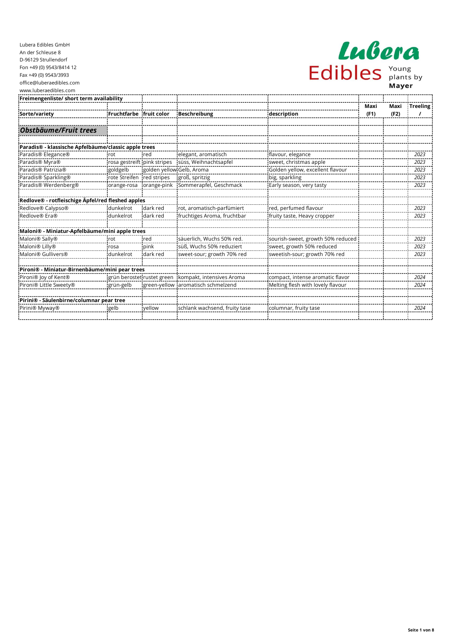| Lubera  |  |                             |  |  |  |  |
|---------|--|-----------------------------|--|--|--|--|
| Edibles |  | Young<br>plants by<br>Mayer |  |  |  |  |

| Freimengenliste/ short term availability             |                             |                           |                               |                                   |      |      |                 |
|------------------------------------------------------|-----------------------------|---------------------------|-------------------------------|-----------------------------------|------|------|-----------------|
|                                                      |                             |                           |                               |                                   | Maxi | Maxi | <b>Treeling</b> |
| Sorte/variety                                        | Fruchtfarbe                 | fruit color               | <b>Beschreibung</b>           | description                       | (F1) | (F2) |                 |
|                                                      |                             |                           |                               |                                   |      |      |                 |
| Obstbäume/Fruit trees                                |                             |                           |                               |                                   |      |      |                 |
| Paradis® - klassische Apfelbäume/classic apple trees |                             |                           |                               |                                   |      |      |                 |
| Paradis® Elegance®                                   | rot                         | red                       | elegant, aromatisch           | flavour, elegance                 |      |      | 2023            |
| Paradis <sup>®</sup> Myra <sup>®</sup>               | rosa gestreift pink stripes |                           | süss, Weihnachtsapfel         | sweet, christmas apple            |      |      | 2023            |
| Paradis® Patrizia®                                   | goldgelb                    | golden yellow Gelb, Aroma |                               | Golden yellow, excellent flavour  |      |      | 2023            |
| Paradis <sup>®</sup> Sparkling <sup>®</sup>          | rote Streifen               | red stripes               | groß, spritzig                | big, sparkling                    |      |      | 2023            |
| Paradis® Werdenberg®                                 | orange-rosa                 | orange-pink               | Sommerapfel, Geschmack        | Early season, very tasty          |      |      | 2023            |
| Redlove® - rotfleischige Äpfel/red fleshed apples    |                             |                           |                               |                                   |      |      |                 |
| Redlove® Calypso®                                    | dunkelrot                   | dark red                  | rot, aromatisch-parfümiert    | red, perfumed flavour             |      |      | 2023            |
| Redlove® Era®                                        | dunkelrot                   | dark red                  | fruchtiges Aroma, fruchtbar   | fruity taste, Heavy cropper       |      |      | 2023            |
| Maloni® - Miniatur-Apfelbäume/mini apple trees       |                             |                           |                               |                                   |      |      |                 |
| Maloni® Sally®                                       | rot                         | red                       | säuerlich, Wuchs 50% red.     | sourish-sweet, growth 50% reduced |      |      | 2023            |
| Maloni <sup>®</sup> Lilly <sup>®</sup>               | rosa                        | pink                      | süß. Wuchs 50% reduziert      | sweet, growth 50% reduced         |      |      | 2023            |
| Maloni® Gullivers®                                   | dunkelrot                   | dark red                  | sweet-sour; growth 70% red    | sweetish-sour; growth 70% red     |      |      | 2023            |
| Pironi® - Miniatur-Birnenbäume/mini pear trees       |                             |                           |                               |                                   |      |      |                 |
| Pironi® Joy of Kent®                                 | grün berostet rustet green  |                           | kompakt, intensives Aroma     | compact, intense aromatic flavor  |      |      | 2024            |
| Pironi® Little Sweety®                               | grün-gelb                   | green-yellow              | aromatisch schmelzend         | Melting flesh with lovely flavour |      |      | 2024            |
| Pirini® - Säulenbirne/columnar pear tree             |                             |                           |                               |                                   |      |      |                 |
| Pirini® Myway®                                       | gelb                        | vellow                    | schlank wachsend, fruity tase | columnar, fruity tase             |      |      | 2024            |
|                                                      |                             |                           |                               |                                   |      |      |                 |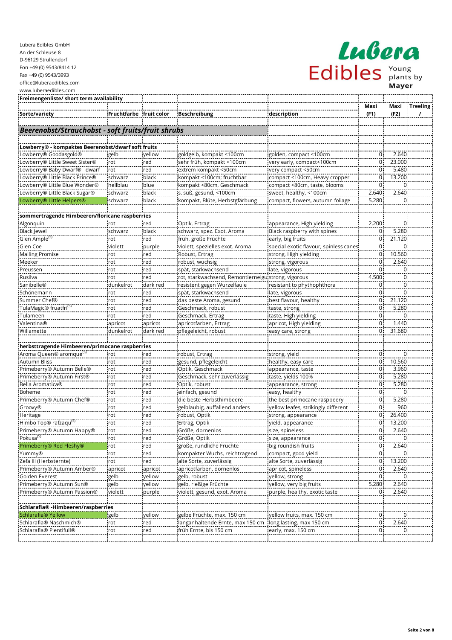| Freimengenliste/ short term availability                                              |                         |            |                                                     |                                        |                  |                |                 |
|---------------------------------------------------------------------------------------|-------------------------|------------|-----------------------------------------------------|----------------------------------------|------------------|----------------|-----------------|
|                                                                                       |                         |            |                                                     |                                        | Maxi             | Maxi           | <b>Treeling</b> |
| Sorte/variety                                                                         | Fruchtfarbe fruit color |            | <b>Beschreibung</b>                                 | description                            | (F1)             | (F2)           | $\prime$        |
|                                                                                       |                         |            |                                                     |                                        |                  |                |                 |
| Beerenobst/Strauchobst - soft fruits/fruit shrubs                                     |                         |            |                                                     |                                        |                  |                |                 |
|                                                                                       |                         |            |                                                     |                                        |                  |                |                 |
| Lowberry® - kompaktes Beerenobst/dwarf soft fruits                                    |                         |            |                                                     |                                        |                  |                |                 |
| Lowberry® Goodasgold®                                                                 | gelb                    | yellow     | goldgelb, kompakt <100cm                            | golden, compact <100cm                 | $\overline{0}$   | 2.640          |                 |
| Lowberry® Little Sweet Sister®                                                        | rot                     | red        | sehr früh, kompakt <100cm                           | very early, compact<100cm              | 0                | 23.000         |                 |
| Lowberry® Baby Dwarf® dwarf                                                           | rot                     | red        | extrem kompakt <50cm                                | very compact <50cm                     | $\overline{0}$   | 5.480          |                 |
| Lowberry® Little Black Prince®                                                        | schwarz                 | black      | kompakt <100cm; fruchtbar                           | compact <100cm, Heavy cropper          | 0                | 13.200         |                 |
| Lowberry® Little Blue Wonder®                                                         | hellblau                | blue       | kompakt <80cm, Geschmack                            | compact <80cm, taste, blooms           | 0                | $\mathbf 0$    |                 |
| Lowberry® Little Black Sugar®                                                         | schwarz                 | black      | s. süß, gesund, <100cm                              | sweet, healthy, <100cm                 | 2.640            | 2.640          |                 |
| Lowberry® Little Helpers®                                                             | schwarz                 | black      | kompakt, Blüte, Herbstgfärbung                      | compact, flowers, autumn foliage       | 5.280            | $\Omega$       |                 |
|                                                                                       |                         |            |                                                     |                                        |                  |                |                 |
| sommertragende Himbeeren/floricane raspberries                                        |                         |            |                                                     |                                        |                  |                |                 |
| Algonquin                                                                             | rot                     | red        | Optik, Ertrag                                       | appearance, High yielding              | 2.200            | $\mathbf 0$    |                 |
| <b>Black Jewel</b>                                                                    | schwarz                 | black      | schwarz, spez. Exot. Aroma                          | Black raspberry with spines            | 0                | 5.280          |                 |
| Glen Ample <sup>(S)</sup>                                                             | rot                     | red        | früh, große Früchte                                 | early, big fruits                      | 0                | 21.120         |                 |
| Glen Coe                                                                              | violett                 | purple     | violett, spezielles exot. Aroma                     | special exotic flavour, spinless canes | 0                | 0              |                 |
| <b>Malling Promise</b>                                                                | rot                     | red        | Robust, Ertrag                                      | strong, High yielding                  | $\mathbf 0$      | 10.560         |                 |
| Meeker                                                                                | rot                     | red        | robust, wüchsig                                     | strong, vigorous                       | $\mathbf 0$      | 2.640          |                 |
| Preussen                                                                              | rot                     | red        | spät, starkwachsend                                 | late, vigorous                         | 0                | $\mathbf 0$    |                 |
| Rusilva                                                                               | rot                     | red        | rot, starkwachsend, Remontierneigu strong, vigorous |                                        | 4.500            | $\mathbf 0$    |                 |
| Sanibelle®                                                                            | dunkelrot               | dark red   | resistent gegen Wurzelfäule                         | resistant to phythophthora             | 0                | $\Omega$       |                 |
| Schönemann                                                                            | rot                     | red        | spät, starkwachsend                                 | late, vigorous                         | 0                | $\mathbf 0$    |                 |
| Summer Chef®                                                                          | rot                     | red        | das beste Aroma, gesund                             | best flavour, healthy                  | 0                | 21.120         |                 |
| TulaMagic® fruatfri <sup>(5)</sup>                                                    | rot                     | red        | Geschmack, robust                                   | taste, strong                          | $\mathsf 0$      | 5.280          |                 |
| Tulameen                                                                              | rot                     | red        | Geschmack, Ertrag                                   | taste, High yielding                   | $\mathbf 0$      | $\mathbf 0$    |                 |
| Valentina®                                                                            | apricot                 | apricot    | apricotfarben, Ertrag                               | apricot, High yielding                 | 0                | 1.440          |                 |
| Willamette                                                                            | dunkelrot               | dark red   | pflegeleicht, robust                                | easy care, strong                      | 0                | 31.680         |                 |
|                                                                                       |                         |            |                                                     |                                        |                  |                |                 |
| herbsttragende Himbeeren/primocane raspberries<br>Aroma Queen® aromque <sup>(S)</sup> |                         |            |                                                     |                                        | $\overline{0}$   | $\Omega$       |                 |
|                                                                                       | rot                     | red        | robust, Ertrag                                      | strong, yield                          | 0                | 10.560         |                 |
| Autumn Bliss                                                                          | rot                     | red        | gesund, pflegeleicht<br>Optik, Geschmack            | healthy, easy care                     | 0                | 3.960          |                 |
| Primeberry® Autumn Belle®<br>Primeberry® Autumn First®                                | rot<br>rot              | red<br>red | Geschmack, sehr zuverlässig                         | appearance, taste                      | 0                | 5.280          |                 |
| Bella Aromatica®                                                                      |                         | red        |                                                     | taste, yields 100%                     | $\mathbf 0$      | 5.280          |                 |
| Boheme                                                                                | rot<br>rot              | red        | Optik, robust<br>einfach, gesund                    | appearance, strong<br>easy, healthy    | 0                | $\mathbf 0$    |                 |
| Primeberry® Autumn Chef®                                                              | rot                     | red        | die beste Herbsthimbeere                            | the best primocane raspbeery           | $\overline{0}$   | 5.280          |                 |
| Groovy <sup>®</sup>                                                                   | rot                     | red        | gelblaubig, auffallend anders                       | yellow leafes, strikingly different    | $\mathsf 0$      | 960            |                 |
| Heritage                                                                              | rot                     | red        | robust, Optik                                       | strong, appearance                     | 0                | 26.400         |                 |
| Himbo Top® rafzaqu <sup>(S)</sup>                                                     | rot                     | red        | Ertrag, Optik                                       | yield, appearance                      | 0                | 13.200         |                 |
| Primeberry® Autumn Happy®                                                             | rot                     | red        | Größe, dornenlos                                    | size, spineless                        | 0                | 2.640          |                 |
| Pokusa <sup>(S)</sup>                                                                 | rot                     | red        | Größe, Optik                                        | size, appearance                       | $\overline{0}$   | $\overline{0}$ |                 |
| Primeberry® Red Fleshy®                                                               | rot                     | red        | große, rundliche Früchte                            | big roundish fruits                    | $\overline{0}$   | 2.640          |                 |
| Yummy®                                                                                | rot                     | red        | kompakter Wuchs, reichtragend                       | compact, good yield                    | 0                | 0              |                 |
| Zefa III (Herbsternte)                                                                | rot                     | red        | alte Sorte, zuverlässig                             | alte Sorte, zuverlässig                | 0                | 13.200         |                 |
| Primeberry® Autumn Amber®                                                             | apricot                 | apricot    | apricotfarben, dornenlos                            | apricot, spineless                     | $\boldsymbol{0}$ | 2.640          |                 |
| Golden Everest                                                                        | gelb                    | yellow     | gelb, robust                                        | yellow, strong                         | $\mathbf 0$      | $\Omega$       |                 |
| Primeberry® Autumn Sun®                                                               | gelb                    | yellow     | gelb, rießige Früchte                               | yellow, very big fruits                | 5.280            | 2.640          |                 |
| Primeberry® Autumn Passion®                                                           | violett                 | purple     | violett, gesund, exot. Aroma                        | purple, healthy, exotic taste          | 0                | 2.640          |                 |
|                                                                                       |                         |            |                                                     |                                        |                  |                |                 |
| Schlarafia® -Himbeeren/raspberries                                                    |                         |            |                                                     |                                        |                  |                |                 |
| Schlarafia® Yellow                                                                    | gelb                    | yellow     | gelbe Früchte, max. 150 cm                          | yellow fruits, max. 150 cm             | 0                | $\overline{0}$ |                 |
| Schlarafia® Naschmich®                                                                | rot                     | red        | langanhaltende Ernte, max 150 cm                    | long lasting, max 150 cm               | $\overline{0}$   | 2.640          |                 |
| Schlarafia® Plentifull®                                                               | rot                     | red        | früh Ernte, bis 150 cm                              | early, max. 150 cm                     | $\overline{0}$   | $\overline{0}$ |                 |

Edibles Plants by

Lubera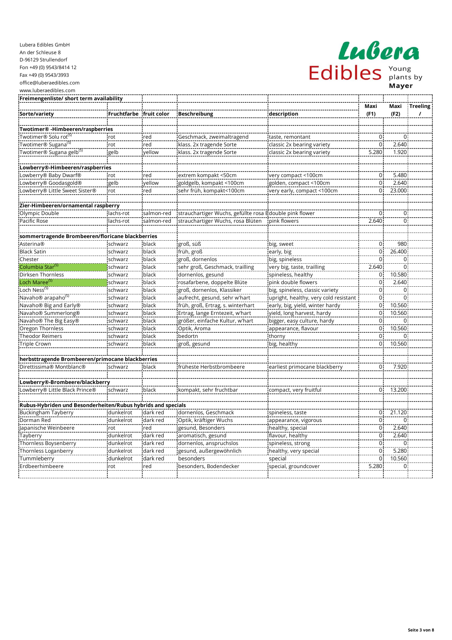| LLAIIOI        |                             |  |  |  |  |  |
|----------------|-----------------------------|--|--|--|--|--|
| <b>Edibles</b> | Young<br>plants by<br>Mayer |  |  |  |  |  |

| Freimengenliste/ short term availability                     |                         |            |                                                         |                                       |                |                |                 |
|--------------------------------------------------------------|-------------------------|------------|---------------------------------------------------------|---------------------------------------|----------------|----------------|-----------------|
|                                                              |                         |            |                                                         |                                       | Maxi           | Maxi           | <b>Treeling</b> |
| Sorte/variety                                                | Fruchtfarbe fruit color |            | Beschreibung                                            | description                           | (F1)           | (F2)           | $\prime$        |
|                                                              |                         |            |                                                         |                                       |                |                |                 |
| Twotimer® -Himbeeren/raspberries                             |                         |            |                                                         |                                       |                |                |                 |
| Twotimer® Solu rot <sup>(S)</sup>                            | rot                     | red        | Geschmack, zweimaltragend                               | taste, remontant                      | 0              | $\mathbf 0$    |                 |
| Twotimer® Sugana <sup>(S)</sup>                              | rot                     | red        | klass. 2x tragende Sorte                                | classic 2x bearing variety            | $\overline{0}$ | 2.640          |                 |
| Twotimer® Sugana gelb <sup>(S)</sup>                         | gelb                    | vellow     | klass. 2x tragende Sorte                                | classic 2x bearing variety            | 5.280          | 1.920          |                 |
| Lowberry®-Himbeeren/raspberries                              |                         |            |                                                         |                                       |                |                |                 |
| Lowberry® Baby Dwarf®                                        | rot                     | red        | extrem kompakt <50cm                                    | very compact <100cm                   | $\pmb{0}$      | 5.480          |                 |
| Lowberry® Goodasgold®                                        | gelb                    | vellow     | goldgelb, kompakt <100cm                                | golden, compact <100cm                | $\mathbf 0$    | 2.640          |                 |
| Lowberry® Little Sweet Sister®                               | rot                     | red        | sehr früh, kompakt<100cm                                | very early, compact <100cm            | $\Omega$       | 23.000         |                 |
| Zier-Himbeeren/ornamental raspberry                          |                         |            |                                                         |                                       |                |                |                 |
| Olympic Double                                               | lachs-rot               | salmon-red | strauchartiger Wuchs, gefüllte rosa Edouble pink flower |                                       | $\Omega$       | $\Omega$       |                 |
| Pacific Rose                                                 | lachs-rot               | salmon-red | strauchartiger Wuchs, rosa Blüten                       | pink flowers                          | 2.640          | $\Omega$       |                 |
|                                                              |                         |            |                                                         |                                       |                |                |                 |
| sommertragende Brombeeren/floricane blackberries             |                         |            |                                                         |                                       |                | 980            |                 |
| <b>Asterina®</b>                                             | schwarz                 | black      | groß, süß                                               | big, sweet                            | 0              |                |                 |
| <b>Black Satin</b>                                           | schwarz                 | black      | früh, groß                                              | early, big                            | $\mathbf 0$    | 26.400         |                 |
| Chester                                                      | schwarz                 | black      | groß, dornenlos                                         | big, spineless                        | $\overline{0}$ | $\Omega$       |                 |
| Columbia Star <sup>(S)</sup>                                 | schwarz                 | black      | sehr groß, Geschmack, trailling                         | very big, taste, trailling            | 2.640          | $\Omega$       |                 |
| Dirksen Thornless                                            | schwarz                 | black      | dornenlos, gesund                                       | spineless, healthy                    | 0              | 10.580         |                 |
| Loch Maree <sup>(S)</sup>                                    | schwarz                 | black      | rosafarbene, doppelte Blüte                             | pink double flowers                   | $\mathsf 0$    | 2.640          |                 |
| Loch Ness <sup>(S)</sup>                                     | schwarz                 | black      | groß, dornenlos, Klassiker                              | big, spineless, classic variety       | 0              | $\mathbf 0$    |                 |
| Navaho® arapaho <sup>(S)</sup>                               | schwarz                 | black      | aufrecht, gesund, sehr w'hart                           | upright, healthy, very cold resistant | 0              | $\overline{0}$ |                 |
| Navaho® Big and Early®                                       | schwarz                 | black      | früh, groß, Ertrag, s. winterhart                       | early, big, yield, winter hardy       | $\overline{0}$ | 10.560         |                 |
| Navaho <sup>®</sup> Summerlong <sup>®</sup>                  | schwarz                 | black      | Ertrag, lange Erntezeit, w'hart                         | yield, long harvest, hardy            | $\overline{0}$ | 10.560         |                 |
| Navaho® The Big Easy®                                        | schwarz                 | black      | größer, einfache Kultur, w'hart                         | bigger, easy culture, hardy           | 0              | $\mathbf 0$    |                 |
| Oregon Thornless                                             | schwarz                 | black      | Optik, Aroma                                            | appearance, flavour                   | 0              | 10.560         |                 |
| <b>Theodor Reimers</b>                                       | schwarz                 | black      | bedortn                                                 | thorny                                | $\mathsf 0$    | $\Omega$       |                 |
| <b>Triple Crown</b>                                          | schwarz                 | black      | groß, gesund                                            | big, healthy                          | 0              | 10.560         |                 |
| herbsttragende Brombeeren/primocane blackberries             |                         |            |                                                         |                                       |                |                |                 |
| Direttissima® Montblanc®                                     | schwarz                 | black      | früheste Herbstbrombeere                                | earliest primocane blackberry         | 0              | 7.920          |                 |
| Lowberry®-Brombeere/blackberry                               |                         |            |                                                         |                                       |                |                |                 |
| Lowberry® Little Black Prince®                               | schwarz                 | black      | kompakt, sehr fruchtbar                                 | compact, very fruitful                | $\mathbf 0$    | 13.200         |                 |
| Rubus-Hybriden und Besonderheiten/Rubus hybrids and specials |                         |            |                                                         |                                       |                |                |                 |
| Buckingham Tayberry                                          | dunkelrot               | dark red   | dornenlos, Geschmack                                    | spineless, taste                      | 0              | 21.120         |                 |
| Dorman Red                                                   | dunkelrot               | dark red   | Optik, kräftiger Wuchs                                  | appearance, vigorous                  | $\mathbf 0$    | $\Omega$       |                 |
| Japanische Weinbeere                                         | rot                     | red        | gesund, Besonders                                       | healthy, special                      | $\mathbf 0$    | 2.640          |                 |
| Tayberry                                                     | dunkelrot               | dark red   | aromatisch, gesund                                      | flavour, healthy                      | 0              | 2.640          |                 |
| Thornless Boysenberry                                        | dunkelrot               | dark red   | dornenlos, anspruchslos                                 | spineless, strong                     | $\overline{0}$ | $\overline{0}$ |                 |
| Thornless Loganberry                                         | dunkelrot               | dark red   | gesund, außergewöhnlich                                 | healthy, very special                 | $\mathbf 0$    | 5.280          |                 |
| Tummleberry                                                  | dunkelrot               | dark red   | besonders                                               | special                               | $\mathbf 0$    | 10.560         |                 |
| Erdbeerhimbeere                                              | rot                     | red        | besonders, Bodendecker                                  | special, groundcover                  | 5.280          | $\mathbf 0$    |                 |
|                                                              |                         |            |                                                         |                                       |                |                |                 |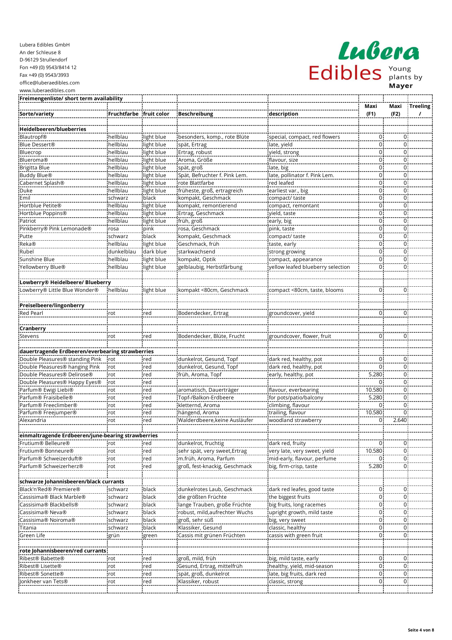| Lubera Edibles GmbH      |
|--------------------------|
| An der Schleuse 8        |
| D-96129 Strullendorf     |
| Fon +49 (0) 9543/8414 12 |
| Fax +49 (0) 9543/3993    |
| office@luberaedibles.com |
| www.luberaedibles.com    |

| <b>ISON</b><br>$\mathcal{L}$ $\mathcal{L}$ |  |                             |  |  |  |  |  |
|--------------------------------------------|--|-----------------------------|--|--|--|--|--|
| Edibles                                    |  | Young<br>plants by<br>Mayer |  |  |  |  |  |

| Freimengenliste/ short term availability              |                         |            |                               |                                   |                |                |                 |
|-------------------------------------------------------|-------------------------|------------|-------------------------------|-----------------------------------|----------------|----------------|-----------------|
|                                                       |                         |            |                               |                                   | Maxi           | Maxi           | <b>Treeling</b> |
| Sorte/variety                                         | Fruchtfarbe fruit color |            | <b>Beschreibung</b>           | description                       | (F1)           | (F2)           | $\prime$        |
|                                                       |                         |            |                               |                                   |                |                |                 |
| Heidelbeeren/blueberries                              |                         |            |                               |                                   |                |                |                 |
| <b>Blautropf®</b>                                     | hellblau                | light blue | besonders, komp., rote Blüte  | special, compact, red flowers     | 0              | $\mathbf 0$    |                 |
| Blue Dessert®                                         | hellblau                | light blue | spät, Ertrag                  | late, yield                       | 0              | $\mathbf 0$    |                 |
| Bluecrop                                              | hellblau                | light blue | Ertrag, robust                | yield, strong                     | 0              | $\mathbf 0$    |                 |
| <b>Blueroma®</b>                                      | hellblau                | light blue | Aroma, Größe                  | flavour, size                     | 0              | $\mathbf 0$    |                 |
| Brigitta Blue                                         | hellblau                | light blue | spät, groß                    | late, big                         | 0              | $\mathbf 0$    |                 |
| <b>Buddy Blue®</b>                                    | hellblau                | light blue | Spät, Befruchter f. Pink Lem. | late, pollinator f. Pink Lem.     | 0              | $\mathbf 0$    |                 |
| Cabernet Splash®                                      | hellblau                | light blue | rote Blattfarbe               | red leafed                        | 0              | $\mathbf 0$    |                 |
| Duke                                                  | hellblau                | light blue | früheste, groß, ertragreich   | earliest var., big                | 0              | $\mathbf 0$    |                 |
| Emil                                                  | schwarz                 | black      | kompakt, Geschmack            | compact/ taste                    | 0              | $\mathbf 0$    |                 |
| Hortblue Petite®                                      | hellblau                | light blue | kompakt, remontierend         | compact, remontant                | 0              | $\mathbf 0$    |                 |
| Hortblue Poppins®                                     | hellblau                | light blue | Ertrag, Geschmack             | yield, taste                      | 0              | $\mathbf 0$    |                 |
| Patriot                                               | hellblau                | light blue | früh, groß                    | early, big                        | 0              | $\mathbf 0$    |                 |
| Pinkberry® Pink Lemonade®                             | rosa                    | pink       | rosa, Geschmack               | pink, taste                       | 0              | $\mathbf 0$    |                 |
| Putte                                                 | schwarz                 | black      | kompakt, Geschmack            | compact/ taste                    | 0              | $\mathbf 0$    |                 |
| Reka®                                                 | hellblau                | light blue | Geschmack, früh               | taste, early                      | 0              | $\pmb{0}$      |                 |
| Rubel                                                 | dunkelblau              | dark blue  | starkwachsend                 | strong growing                    | 0              | $\mathbf 0$    |                 |
| Sunshine Blue                                         | hellblau                | light blue | kompakt, Optik                | compact, appearance               | 0              | $\mathbf 0$    |                 |
| Yellowberry Blue®                                     | hellblau                | light blue | gelblaubig, Herbstfärbung     | yellow leafed blueberry selection | 0              | $\mathbf 0$    |                 |
|                                                       |                         |            |                               |                                   |                |                |                 |
| Lowberry® Heidelbeere/ Blueberry                      |                         |            |                               |                                   |                |                |                 |
| Lowberry® Little Blue Wonder®                         | hellblau                | light blue | kompakt <80cm, Geschmack      | compact <80cm, taste, blooms      | 0              | $\mathbf 0$    |                 |
|                                                       |                         |            |                               |                                   |                |                |                 |
| Preiselbeere/lingonberry                              |                         |            |                               |                                   |                |                |                 |
| <b>Red Pearl</b>                                      | rot                     | red        | Bodendecker, Ertrag           | groundcover, yield                | 0              | $\mathbf 0$    |                 |
|                                                       |                         |            |                               |                                   |                |                |                 |
| Cranberry                                             |                         |            |                               |                                   |                |                |                 |
| Stevens                                               | rot                     | red        | Bodendecker, Blüte, Frucht    | groundcover, flower, fruit        | 0              | $\mathbf 0$    |                 |
|                                                       |                         |            |                               |                                   |                |                |                 |
| dauertragende Erdbeeren/everbearing strawberries      |                         |            |                               |                                   |                |                |                 |
| Double Pleasures <sup>®</sup> standing Pink           | rot                     | red        | dunkelrot, Gesund, Topf       | dark red, healthy, pot            | 0              | $\mathbf 0$    |                 |
| Double Pleasures® hanging Pink                        | rot                     | red        | dunkelrot, Gesund, Topf       | dark red, healthy, pot            | 0              | $\mathbf 0$    |                 |
| Double Pleasures® Delirose®                           | rot                     | red        | früh, Aroma, Topf             | early, healthy, pot               | 5.280          | $\mathbf 0$    |                 |
| Double Pleasures <sup>®</sup> Happy Eyes <sup>®</sup> | rot                     | red        |                               |                                   | 0              | $\mathbf 0$    |                 |
| Parfum® Ewigi Liebi®                                  | rot                     | red        | aromatisch, Dauerträger       | flavour, everbearing              | 10.580         | $\pmb{0}$      |                 |
| Parfum® Fraisibelle®                                  | rot                     | red        | Topf-/Balkon-Erdbeere         | for pots/patio/balcony            | 5.280          | $\mathbf 0$    |                 |
| Parfum® Freeclimber®                                  | rot                     | red        | kletternd, Aroma              | climbing, flavour                 | 0              | $\mathbf 0$    |                 |
| Parfum® Freejumper®                                   | rot                     | red        | hängend, Aroma                | trailing, flavour                 | 10.580         | $\mathbf 0$    |                 |
| Alexandria                                            | rot                     | red        | Walderdbeere, keine Ausläufer | woodland strawberry               | 0              | 2.640          |                 |
|                                                       |                         |            |                               |                                   |                |                |                 |
| einmaltragende Erdbeeren/june-bearing strawberries    |                         |            |                               |                                   |                |                |                 |
| Frutium® Belleure®                                    | rot                     | red        | dunkelrot, fruchtig           | dark red, fruity                  | $\overline{0}$ | $\mathbf 0$    |                 |
| Frutium® Bonneure®                                    | rot                     | red        | sehr spät, very sweet, Ertrag | very late, very sweet, yield      | 10.580         | $\overline{0}$ |                 |
| Parfum® Schweizerduft®                                | rot                     | red        | m.früh, Aroma, Parfum         | mid-early, flavour, perfume       | 0              | $\overline{0}$ |                 |
| Parfum® Schweizerherz®                                | rot                     | red        | groß, fest-knackig, Geschmack | big, firm-crisp, taste            | 5.280          | $\mathbf 0$    |                 |
|                                                       |                         |            |                               |                                   |                |                |                 |
| schwarze Johannisbeeren/black currants                |                         |            |                               |                                   |                |                |                 |
| Black'n'Red® Premiere®                                | schwarz                 | black      | dunkelrotes Laub, Geschmack   | dark red leafes, good taste       | 0              | $\overline{0}$ |                 |
| Cassisima® Black Marble®                              | schwarz                 | black      | die größten Früchte           | the biggest fruits                | $\overline{0}$ | $\overline{0}$ |                 |
| Cassisima® Blackbells®                                | schwarz                 | black      | lange Trauben, große Früchte  | big fruits, long racemes          | $\overline{0}$ | $\overline{0}$ |                 |
| Cassisima® Neva®                                      | schwarz                 | black      | robust, mild,aufrechter Wuchs | upright growth, mild taste        | $\overline{0}$ | 0              |                 |
| Cassisima® Noiroma®                                   | schwarz                 | black      | groß, sehr süß                | big, very sweet                   | $\overline{0}$ | $\overline{0}$ |                 |
| Titania                                               | schwarz                 | black      | Klassiker, Gesund             | classic, healthy                  | 0              | $\mathbf 0$    |                 |
| Green Life                                            | grün                    | green      | Cassis mit grünen Früchten    | cassis with green fruit           | 0              | $\overline{0}$ |                 |
|                                                       |                         |            |                               |                                   |                |                |                 |
| rote Johannisbeeren/red currants                      |                         |            |                               |                                   |                |                |                 |
| Ribest® Babette®                                      | rot                     | red        | groß, mild, früh              | big, mild taste, early            | $\overline{0}$ | $\overline{0}$ |                 |
| Ribest® Lisette®                                      | rot                     | red        | Gesund, Ertrag, mittelfrüh    | healthy, yield, mid-season        | 0              | $\overline{0}$ |                 |
| Ribest® Sonette®                                      | rot                     | red        | spät, groß, dunkelrot         | late, big fruits, dark red        | 0              | $\overline{0}$ |                 |
| Jonkheer van Tets®                                    | rot                     | red        | Klassiker, robust             | classic, strong                   | $\overline{0}$ | $\overline{0}$ |                 |
|                                                       |                         |            |                               |                                   |                |                |                 |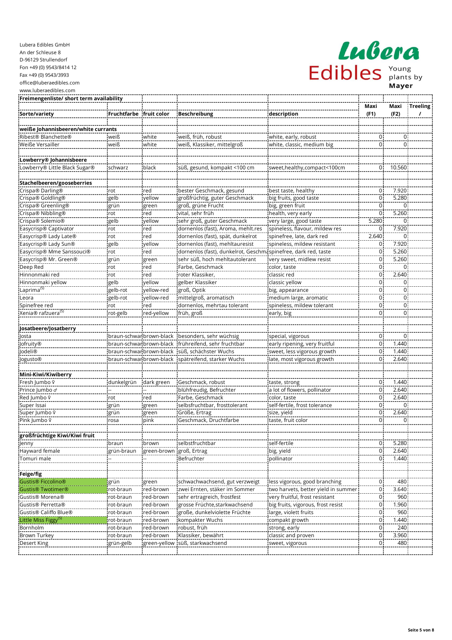| Freimengenliste/ short term availability |                          |              |                                                                |                                     |                     |             |                 |
|------------------------------------------|--------------------------|--------------|----------------------------------------------------------------|-------------------------------------|---------------------|-------------|-----------------|
|                                          |                          |              |                                                                |                                     | Maxi                | Maxi        | <b>Treeling</b> |
| Sorte/variety                            | Fruchtfarbe              | fruit color  | <b>Beschreibung</b>                                            | description                         | (F1)                | (F2)        | $\prime$        |
|                                          |                          |              |                                                                |                                     |                     |             |                 |
| weiße Johannisbeeren/white currants      |                          |              |                                                                |                                     |                     |             |                 |
| Ribest® Blanchette®                      | weiß                     | white        | weiß, früh, robust                                             | white, early, robust                | 0                   | $\mathbf 0$ |                 |
| Weiße Versailler                         | weiß                     | white        | weiß, Klassiker, mittelgroß                                    | white, classic, medium big          | 0                   | $\Omega$    |                 |
|                                          |                          |              |                                                                |                                     |                     |             |                 |
| Lowberry® Johannisbeere                  |                          |              |                                                                |                                     |                     |             |                 |
| Lowberry® Little Black Sugar®            | schwarz                  | black        | süß, gesund, kompakt <100 cm                                   | sweet, healthy, compact<100cm       | 0                   | 10.560      |                 |
|                                          |                          |              |                                                                |                                     |                     |             |                 |
| Stachelbeeren/gooseberries               |                          |              |                                                                |                                     |                     |             |                 |
| Crispa® Darling®                         | rot                      | ired         | bester Geschmack, gesund                                       | best taste, healthy                 | 0                   | 7.920       |                 |
| Crispa® Goldling®                        | gelb                     | vellow       | großfrüchtig, guter Geschmack                                  | big fruits, good taste              | $\overline{0}$      | 5.280       |                 |
| Crispa® Greenling®                       | grün                     | green        | groß, grüne Frucht                                             | big, green fruit                    | 0                   | 0           |                 |
| Crispa® Nibbling®                        | rot                      | red          | vital, sehr früh                                               | health, very early                  | $\overline{0}$      | 5.260       |                 |
| Crispa® Solemio®                         | gelb                     | yellow       | sehr groß, guter Geschmack                                     | very large, good taste              | 5.280               | $\Omega$    |                 |
| Easycrisp® Captivator                    | rot                      | red          | dornenlos (fast), Aroma, mehlt.res                             | spineless, flavour, mildew res      | 0                   | 7.920       |                 |
| Easycrisp® Lady Late®                    | rot                      | red          | dornenlos (fast), spät, dunkelrot                              | spinefree, late, dark red           | 2.640               | $\mathbf 0$ |                 |
| Easycrisp® Lady Sun®                     | gelb                     | vellow       | dornenlos (fast), mehltauresist                                | spineless, mildew resistant         | 0                   | 7.920       |                 |
| Easycrisp® Mme Sanssouci®                | rot                      | red          | dornenlos (fast), dunkelrot, Geschmaspinefree, dark red, taste |                                     | 0                   | 5.260       |                 |
| Easycrisp® Mr. Green®                    | grün                     | green        | sehr süß, hoch mehltautolerant                                 | very sweet, midlew resist           | $\mathsf 0$         | 5.260       |                 |
| Deep Red                                 | rot                      | red          | Farbe, Geschmack                                               | color, taste                        | $\mathsf 0$         | $\Omega$    |                 |
| Hinnonmaki red                           | rot                      | red          | roter Klassiker,                                               | classic red                         | $\mathsf 0$         | 2.640       |                 |
| Hinnonmaki yellow                        |                          | vellow       |                                                                |                                     | $\mathbf 0$         | $\mathbf 0$ |                 |
| Laprima <sup>(S)</sup>                   | gelb                     |              | gelber Klassiker                                               | classic yellow<br>big, appearance   | $\mathbf 0$         | $\mathbf 0$ |                 |
| Leora                                    | gelb-rot<br>gelb-rot     | yellow-red   | groß, Optik                                                    |                                     | $\overline{0}$      | $\mathbf 0$ |                 |
| Spinefree red                            |                          | yellow-red   | mittelgroß, aromatisch                                         | medium large, aromatic              | 0                   | $\mathbf 0$ |                 |
| Xenia® rafzuera <sup>(S)</sup>           | rot                      | red          | dornenlos, mehrtau tolerant                                    | spineless, mildew tolerant          | 0                   | $\Omega$    |                 |
|                                          | rot-gelb                 | red-yellow   | früh, groß                                                     | early, big                          |                     |             |                 |
|                                          |                          |              |                                                                |                                     |                     |             |                 |
| Josatbeere/Josatberry                    |                          |              |                                                                |                                     |                     |             |                 |
| Josta                                    | braun-schwar brown-black |              | besonders, sehr wüchsig                                        | special, vigorous                   | 0<br>$\overline{0}$ | $\mathbf 0$ |                 |
| Jofruity®                                | braun-schwar brown-black |              | frühreifend, sehr fruchtbar                                    | early ripening, very fruitful       |                     | 1.440       |                 |
| <b>Jodeli®</b>                           | braun-schwar brown-black |              | süß, schächster Wuchs                                          | sweet, less vigorous growth         | $\mathbf 0$         | 1.440       |                 |
| Jogusto®                                 | braun-schwar brown-black |              | spätreifend, starker Wuchs                                     | late, most vigorous growth          | $\pmb{0}$           | 2.640       |                 |
|                                          |                          |              |                                                                |                                     |                     |             |                 |
| Mini-Kiwi/Kiwiberry                      |                          |              |                                                                |                                     |                     |             |                 |
| Fresh Jumbo º                            | dunkelgrün               | dark green   | Geschmack, robust                                              | taste, strong                       | 0<br>$\overline{0}$ | 1.440       |                 |
| Prince Jumbo o                           |                          |              | blühfreudig, Befruchter                                        | a lot of flowers, pollinator        |                     | 2.640       |                 |
| Red Jumbo º                              | rot                      | red          | Farbe, Geschmack                                               | color, taste                        | 0                   | 2.640       |                 |
| Super Issai                              | grün                     | green        | selbsfruchtbar, frosttolerant                                  | self-fertile, frost tolerance       | $\overline{0}$      | $\mathbf 0$ |                 |
| Super Jumbo º                            | grün                     | green        | Größe, Ertrag                                                  | size, yield                         | $\mathbf 0$         | 2.640       |                 |
| Pink Jumbo º                             | rosa                     | pink         | Geschmack, Druchtfarbe                                         | taste, fruit color                  | 0                   | 0           |                 |
|                                          |                          |              |                                                                |                                     |                     |             |                 |
| großfrüchtige Kiwi/Kiwi fruit            |                          |              |                                                                |                                     |                     |             |                 |
| Jenny<br>Hayward female                  | braun                    | brown        | selbstfruchtbar                                                | self-fertile                        | $\mathsf 0$         | 5.280       |                 |
|                                          | grün-braun               | green-brown  | groß, Ertrag                                                   | big, yield                          | 0                   | 2.640       |                 |
| Tomuri male                              |                          |              | Befruchter                                                     | pollinator                          | $\mathbf 0$         | 1.440       |                 |
|                                          |                          |              |                                                                |                                     |                     |             |                 |
| Feige/fig                                |                          |              |                                                                |                                     |                     |             |                 |
| <b>Gustis® Ficcolino®</b>                | grün                     | green        | schwachwachsend, gut verzweigt                                 | less vigorous, good branching       | 0                   | 480         |                 |
| <b>Gustis® Twotimer®</b>                 | rot-braun                | red-brown    | zwei Ernten, stäker im Sommer                                  | two harvets, better yield in summer | $\mathsf{O}\xspace$ | 3.640       |                 |
| Gustis® Morena®                          | rot-braun                | red-brown    | sehr ertragreich, frostfest                                    | very fruitful, frost resistant      | 0                   | 960         |                 |
| Gustis® Perretta®                        | rot-braun                | red-brown    | grosse Früchte, starkwachsend                                  | big fruits, vigorous, frost resist  | $\mathsf 0$         | 1.960       |                 |
| Gustis® Califfo Blue®                    | rot-braun                | red-brown    | große, dunkelviolette Früchte                                  | large, violett fruits               | $\overline{0}$      | 960         |                 |
| Little Miss Figgy <sup>(S)</sup>         | rot-braun                | red-brown    | kompakter Wuchs                                                | compakt growth                      | 0                   | 1.440       |                 |
| Bornholm                                 | rot-braun                | red-brown    | robust, früh                                                   | strong, early                       | $\overline{0}$      | 240         |                 |
| Brown Turkey                             | rot-braun                | red-brown    | Klassiker, bewährt                                             | classic and proven                  | $\mathsf 0$         | 3.960       |                 |
| Desert King                              | grün-gelb                | green-yellow | süß, starkwachsend                                             | sweet, vigorous                     | $\overline{0}$      | 480         |                 |
|                                          |                          |              |                                                                |                                     |                     |             |                 |

Lubera

Edibles Mayer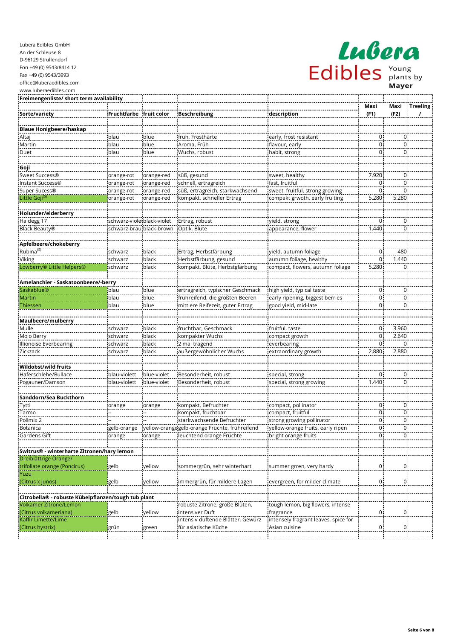| Lubera Edibles GmbH      |
|--------------------------|
| An der Schleuse 8        |
| D-96129 Strullendorf     |
| Fon +49 (0) 9543/8414 12 |
| Fax +49 (0) 9543/3993    |
| office@luberaedibles.com |
| www.luberaedibles.com    |

| LAGORA  |  |                             |  |  |  |  |  |
|---------|--|-----------------------------|--|--|--|--|--|
| Edibles |  | Young<br>plants by<br>Mayer |  |  |  |  |  |

| Freimengenliste/ short term availability            |                                            |                          |                                               |                                      |             |                |                 |
|-----------------------------------------------------|--------------------------------------------|--------------------------|-----------------------------------------------|--------------------------------------|-------------|----------------|-----------------|
|                                                     |                                            |                          |                                               |                                      | Maxi        | Maxi           | <b>Treeling</b> |
| Sorte/variety                                       | Fruchtfarbe   fruit color                  |                          | <b>Beschreibung</b>                           | description                          | (F1)        | (F2)           | $\prime$        |
|                                                     |                                            |                          |                                               |                                      |             |                |                 |
| <b>Blaue Honigbeere/haskap</b>                      |                                            |                          |                                               |                                      |             |                |                 |
| Altaj                                               | blau                                       | blue                     | früh, Frosthärte                              | early, frost resistant               | 0           | $\mathbf 0$    |                 |
| Martin                                              | blau                                       | blue                     | Aroma, Früh                                   | flavour, early                       | 0           | $\mathsf 0$    |                 |
| Duet                                                | blau                                       | blue                     | Wuchs, robust                                 | habit, strong                        | 0           | $\mathbf 0$    |                 |
|                                                     |                                            |                          |                                               |                                      |             |                |                 |
| Goji<br>Sweet Success®                              |                                            |                          |                                               | sweet, healthy                       | 7.920       | $\mathbf 0$    |                 |
| Instant Success®                                    | orange-rot                                 | orange-red               | süß, gesund<br>schnell, ertragreich           | fast, fruitful                       | 0           | $\mathbf 0$    |                 |
| Super Sucess®                                       | orange-rot                                 | orange-red<br>orange-red | süß, ertragreich, starkwachsend               | sweet, fruitful, strong growing      | $\mathbf 0$ | $\mathbf 0$    |                 |
| Little Goji <sup>(S)</sup>                          | orange-rot                                 | orange-red               | kompakt, schneller Ertrag                     | compakt grwoth, early fruiting       | 5.280       | 5.280          |                 |
|                                                     | orange-rot                                 |                          |                                               |                                      |             |                |                 |
| Holunder/elderberry                                 |                                            |                          |                                               |                                      |             |                |                 |
| Haidegg 17                                          | schwarz-violetblack-violet                 |                          | Ertrag, robust                                | yield, strong                        | 0           | $\mathbf 0$    |                 |
| Black Beauty®                                       | schwarz-brau black-brown                   |                          | Optik, Blüte                                  | appearance, flower                   | 1.440       | $\mathbf 0$    |                 |
|                                                     |                                            |                          |                                               |                                      |             |                |                 |
| Apfelbeere/chokeberry                               |                                            |                          |                                               |                                      |             |                |                 |
| Rubina <sup>(S)</sup>                               | schwarz                                    | black                    | Ertrag, Herbstfärbung                         | yield, autumn foliage                | 0           | 480            |                 |
| Viking                                              | schwarz                                    | black                    | Herbstfärbung, gesund                         | autumn foliage, healthy              | 0           | 1.440          |                 |
| Lowberry® Little Helpers®                           | schwarz                                    | black                    | kompakt, Blüte, Herbstgfärbung                | compact, flowers, autumn foliage     | 5.280       | $\mathbf 0$    |                 |
|                                                     |                                            |                          |                                               |                                      |             |                |                 |
| Amelanchier - Saskatoonbeere/-berry                 |                                            |                          |                                               |                                      |             |                |                 |
| Saskablue®                                          | blau                                       | blue                     | ertragreich, typischer Geschmack              | high yield, typical taste            | 0           | $\mathbf 0$    |                 |
| Martin                                              | blau                                       | blue                     | frühreifend, die größten Beeren               | early ripening, biggest berries      | 0           | $\mathbf 0$    |                 |
| Thiessen                                            | blau                                       | blue                     | mittlere Reifezeit, guter Ertrag              | good yield, mid-late                 | 0           | $\mathbf 0$    |                 |
|                                                     |                                            |                          |                                               |                                      |             |                |                 |
| Maulbeere/mulberry                                  |                                            |                          |                                               |                                      |             |                |                 |
| Mulle                                               | schwarz                                    | black                    | fruchtbar, Geschmack                          | fruitful, taste                      | 0           | 3.960          |                 |
| Mojo Berry                                          | schwarz                                    | black                    | kompakter Wuchs                               | compact growth                       | 0           | 2.640          |                 |
| Illionoise Everbearing                              | schwarz                                    | black                    | 2 mal tragend                                 | everbearing                          | 0           | $\Omega$       |                 |
| Zickzack                                            | schwarz                                    | black                    | außergewöhnlicher Wuchs                       | extraordinary growth                 | 2.880       | 2.880          |                 |
|                                                     |                                            |                          |                                               |                                      |             |                |                 |
| Wildobst/wild fruits                                |                                            |                          |                                               |                                      |             |                |                 |
| Haferschlehe/Bullace                                | blau-violett                               | blue-violet              | Besonderheit, robust                          | special, strong                      | 0           | $\mathbf 0$    |                 |
| Pogauner/Damson                                     | blau-violett                               | blue-violet              | Besonderheit, robust                          | special, strong growing              | 1.440       | $\mathbf 0$    |                 |
|                                                     |                                            |                          |                                               |                                      |             |                |                 |
| Sanddorn/Sea Buckthorn                              |                                            |                          |                                               |                                      |             |                |                 |
| Tytti                                               | orange                                     | orange                   | kompakt, Befruchter                           | compact, pollinator                  | $\mathbf 0$ | $\overline{0}$ |                 |
| Tarmo                                               |                                            |                          | kompakt, fruchtbar                            | compact, fruitful                    | 0           | $\mathbf 0$    |                 |
| Pollmix 2                                           |                                            |                          | starkwachsende Befruchter                     | strong growing pollinator            | 0           | $\mathbf 0$    |                 |
| Botanica                                            | gelb-orange                                |                          | yellow-orangegelb-orange Früchte, frühreifend | yellow-orange fruits, early ripen    | 0           | $\pmb{0}$      |                 |
| Gardens Gift                                        | $\overline{\overline{\phantom{a}}}$ orange | orange                   | leuchtend orange Früchte                      | bright orange fruits                 | 0           | 0              |                 |
|                                                     |                                            |                          |                                               |                                      |             |                |                 |
| Switrus® - winterharte Zitronen/hary lemon          |                                            |                          |                                               |                                      |             |                |                 |
| Dreiblättrige Orange/                               |                                            |                          |                                               |                                      |             |                |                 |
| trifoliate orange (Poncirus)                        | gelb                                       | yellow                   | sommergrün, sehr winterhart                   | summer grren, very hardy             | 0           | $\mathbf 0$    |                 |
| Yuzu                                                |                                            |                          |                                               |                                      |             |                |                 |
| (Citrus x junos)                                    | gelb                                       | yellow                   | immergrün, für mildere Lagen                  | evergreen, for milder climate        | 0           | $\mathbf 0$    |                 |
|                                                     |                                            |                          |                                               |                                      |             |                |                 |
| Citrobella® - robuste Kübelpflanzen/tough tub plant |                                            |                          |                                               |                                      |             |                |                 |
| <b>Volkamer Zitrone/Lemon</b>                       |                                            |                          | robuste Zitrone, große Blüten,                | tough lemon, big flowers, intense    |             |                |                 |
| (Citrus volkameriana)                               | gelb                                       | yellow                   | intensiver Duft                               | fragrance                            | 0           | $\mathbf 0$    |                 |
| Kaffir Limette/Lime                                 |                                            |                          | intensiv duftende Blätter, Gewürz             | intensely fragrant leaves, spice for |             |                |                 |
| (Citrus hystrix)                                    | grün                                       | green                    | für asiatische Küche                          | Asian cuisine                        | 0           | 0              |                 |
|                                                     |                                            |                          |                                               |                                      |             |                |                 |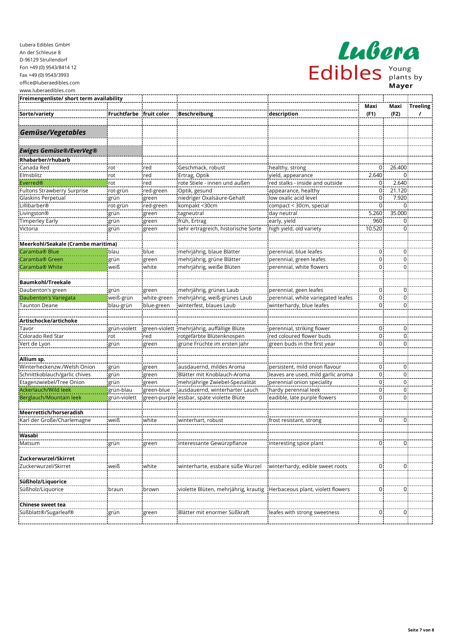| <b>LAUORA</b> |  |                             |  |  |  |
|---------------|--|-----------------------------|--|--|--|
| Edibles       |  | Young<br>plants by<br>Mayer |  |  |  |

| Freimengenliste/ short term availability |              |               |                                      |                                    |                |                         |                 |
|------------------------------------------|--------------|---------------|--------------------------------------|------------------------------------|----------------|-------------------------|-----------------|
|                                          |              |               |                                      |                                    | Maxi           | Maxi                    | <b>Treeling</b> |
| Sorte/variety                            | Fruchtfarbe  | fruit color   | <b>Beschreibung</b>                  | description                        | (F1)           | (F2)                    | $\prime$        |
|                                          |              |               |                                      |                                    |                |                         |                 |
| Gemüse/Vegetables                        |              |               |                                      |                                    |                |                         |                 |
|                                          |              |               |                                      |                                    |                |                         |                 |
|                                          |              |               |                                      |                                    |                |                         |                 |
| <b>Ewiges Gemüse®/EverVeg®</b>           |              |               |                                      |                                    |                |                         |                 |
| Rhabarber/rhubarb                        |              |               |                                      |                                    |                |                         |                 |
| Canada Red                               | rot          | red           | Geschmack, robust                    | healthy, strong                    | 0              | 26.400                  |                 |
| Elmsblitz                                | rot          | red           | Ertrag, Optik                        | yield, appearance                  | 2.640          | $\Omega$                |                 |
| Everred®                                 | rot          | red           | rote Stiele - innen und außen        | red stalks - inside and outside    | 0              | 2.640                   |                 |
| Fultons Strawberry Surprise              | rot-grün     | red-green     | Optik, gesund                        | appearance, healthy                | $\overline{0}$ | 21.120                  |                 |
| Glaskins Perpetual                       | grün         | green         | niedriger Oxalsäure-Gehalt           | low oxalic acid level              | $\mathbf 0$    | 7.920                   |                 |
| Lillibarber®                             | rot-grün     | red-green     | kompakt <30cm                        | compact < 30cm, special            | 0              | $\mathbf 0$             |                 |
| Livingston®                              | grün         | green         | tagneutral                           | day neutral                        | 5.260          | 35.000                  |                 |
| Timperley Early<br>Victoria              | grün         | green         | früh, Ertrag                         | early, yield                       | 960<br>10.520  | $\mathbf 0$<br>$\Omega$ |                 |
|                                          | grün         | green         | sehr ertragreich, historische Sorte  | high yield, old variety            |                |                         |                 |
| Meerkohl/Seakale (Crambe maritima)       |              |               |                                      |                                    |                |                         |                 |
| Caramba <sup>®</sup> Blue                | blau         | blue          | mehrjährig, blaue Blätter            | perennial, blue leafes             | $\mathsf 0$    | $\mathbf 0$             |                 |
| Caramba <sup>®</sup> Green               | grün         | green         | mehrjährig, grüne Blätter            | perennial, green leafes            | 0              | $\mathbf 0$             |                 |
| Caramba <sup>®</sup> White               | weiß         | white         | mehrjährig, weiße Blüten             | perennial, white flowers           | 0              | $\Omega$                |                 |
|                                          |              |               |                                      |                                    |                |                         |                 |
| <b>Baumkohl/Treekale</b>                 |              |               |                                      |                                    |                |                         |                 |
| Daubenton's green                        | grün         | green         | mehrjährig, grünes Laub              | perennial, geen leafes             | 0              | $\mathbf 0$             |                 |
| Daubenton's Variegata                    | weiß-grün    | white-green   | mehrjährig, weiß-grünes Laub         | perennial, white variegated leafes | 0              | $\mathbf 0$             |                 |
| <b>Taunton Deane</b>                     | blau-grün    | blue-green    | winterfest, blaues Laub              | winterhardy, blue leafes           | 0              | $\mathbf 0$             |                 |
|                                          |              |               |                                      |                                    |                |                         |                 |
| Artischocke/artichoke                    |              |               |                                      |                                    |                |                         |                 |
| Tavor                                    | grün-violett | green-violett | mehrjährig, auffällige Blüte         | perennial, striking flower         | 0              | $\mathbf 0$             |                 |
| Colorado Red Star                        | rot          | red           | rotgefärbte Blütenknospen            | red coloured flower buds           | 0              | $\mathbf 0$             |                 |
| Vert de Lyon                             | grün         | green         | grüne Früchte im ersten Jahr         | green buds in the first year       | 0              | $\Omega$                |                 |
|                                          |              |               |                                      |                                    |                |                         |                 |
| Allium sp.                               |              |               |                                      |                                    |                |                         |                 |
| Winterheckenzw./Welsh Onion              | grün         | green         | ausdauernd, mildes Aroma             | persistent, mild onion flavour     | 0              | $\mathbf 0$             |                 |
| Schnittkoblauch/garlic chives            | grün         | green         | Blätter mit Knoblauch-Aroma          | leaves are used, mild garlic aroma | 0              | $\mathbf 0$             |                 |
| Etagenzwiebel/Tree Onion                 | grün         | green         | mehrjährige Zwiebel-Spezialität      | perennial onion speciality         | 0              | $\mathbf 0$             |                 |
| Ackerlauch/Wild leek                     | grün-blau    | green-blue    | ausdauernd, winterharter Lauch       | hardy perennial leek               | 0              | $\mathbf 0$             |                 |
| Berglauch/Mountain leek                  | grün-violett | green-purple  | essbar, späte violette Blüte         | eadible, late purple flowers       | 0              | 0                       |                 |
|                                          |              |               |                                      |                                    |                |                         |                 |
| Meerrettich/horseradish                  |              |               |                                      |                                    |                |                         |                 |
| Karl der Große/Charlemagne               | weiß         | white         | winterhart, robust                   | frost resistant, strong            | 0              | $\mathbf 0$             |                 |
|                                          |              |               |                                      |                                    |                |                         |                 |
| Wasabi                                   |              |               |                                      |                                    | 0              | $\mathbf 0$             |                 |
| Matsum                                   | grün         | green         | interessante Gewürzpflanze           | interesting spice plant            |                |                         |                 |
| Zuckerwurzel/Skirret                     |              |               |                                      |                                    |                |                         |                 |
| Zuckerwurzel/Skirret                     | weiß         | white         | winterharte, essbare süße Wurzel     | winterhardy, edible sweet roots    | $\overline{0}$ | $\overline{0}$          |                 |
|                                          |              |               |                                      |                                    |                |                         |                 |
| Süßholz/Liquorice                        |              |               |                                      |                                    |                |                         |                 |
| Süßholz/Liquorice                        | braun        | brown         | violette Blüten, mehrjährig, krautig | Herbaceous plant, violett flowers  | 0              | $\mathbf 0$             |                 |
|                                          |              |               |                                      |                                    |                |                         |                 |
| Chinese sweet tea                        |              |               |                                      |                                    |                |                         |                 |
| Süßblatt®/Sugarleaf®                     | grün         | green         | Blätter mit enormer Süßkraft         | leafes with strong sweetness       | 0              | $\overline{0}$          |                 |
|                                          |              |               |                                      |                                    |                |                         |                 |